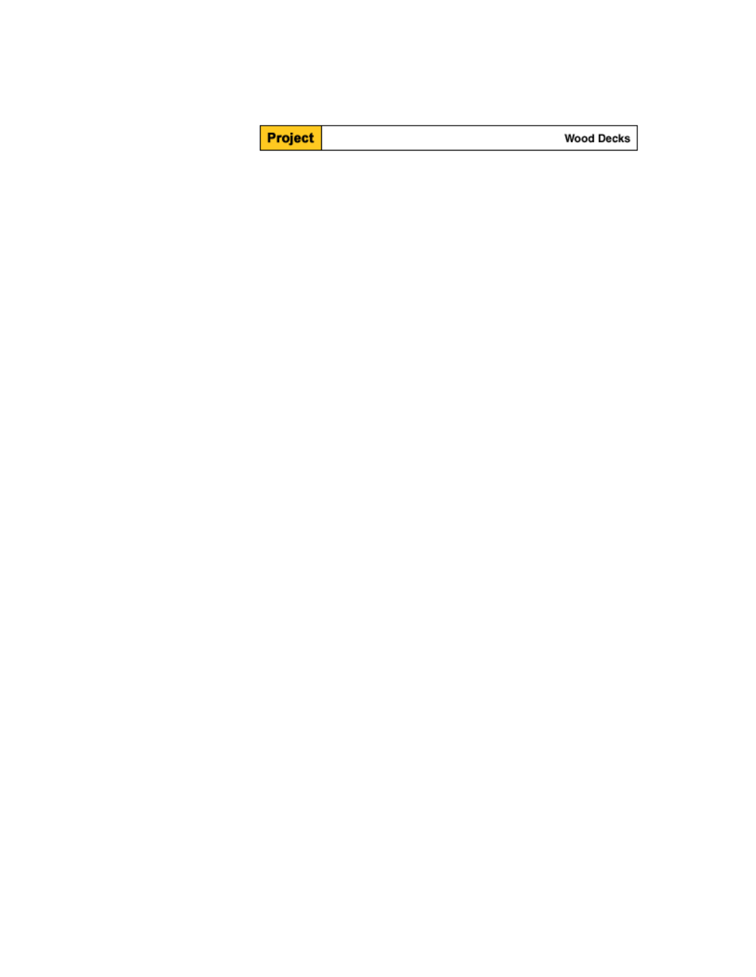| <b>Project</b> | <b>Wood Decks</b> |
|----------------|-------------------|
|----------------|-------------------|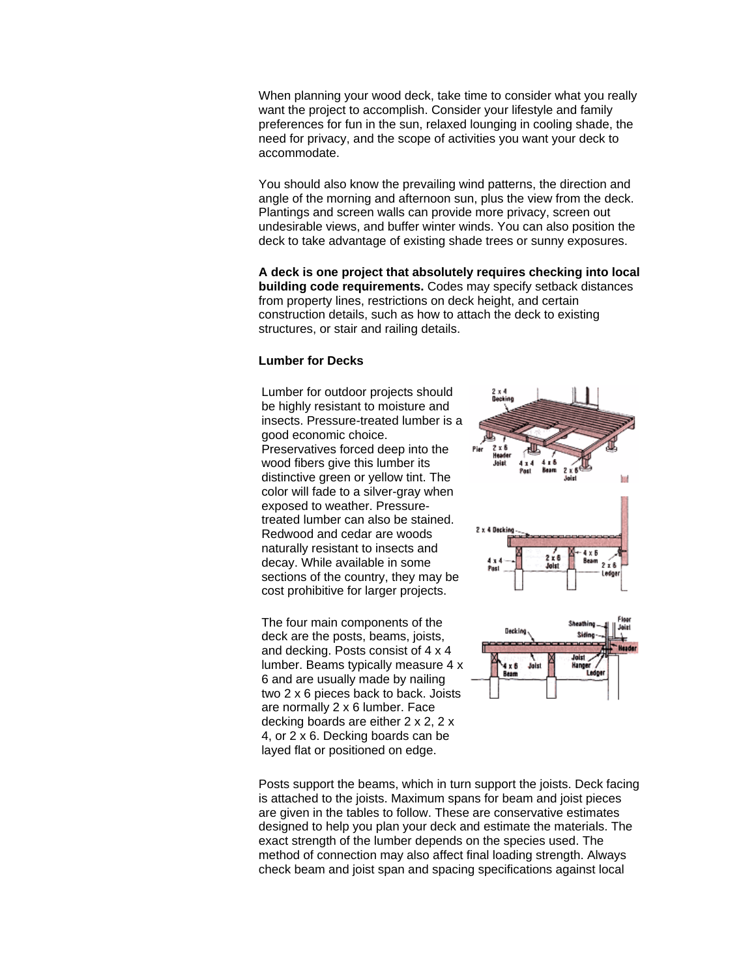When planning your wood deck, take time to consider what you really want the project to accomplish. Consider your lifestyle and family preferences for fun in the sun, relaxed lounging in cooling shade, the need for privacy, and the scope of activities you want your deck to accommodate.

You should also know the prevailing wind patterns, the direction and angle of the morning and afternoon sun, plus the view from the deck. Plantings and screen walls can provide more privacy, screen out undesirable views, and buffer winter winds. You can also position the deck to take advantage of existing shade trees or sunny exposures.

**A deck is one project that absolutely requires checking into local building code requirements.** Codes may specify setback distances from property lines, restrictions on deck height, and certain construction details, such as how to attach the deck to existing structures, or stair and railing details.

## **Lumber for Decks**

Lumber for outdoor projects should be highly resistant to moisture and insects. Pressure-treated lumber is a good economic choice. Preservatives forced deep into the wood fibers give this lumber its distinctive green or yellow tint. The color will fade to a silver-gray when exposed to weather. Pressuretreated lumber can also be stained. Redwood and cedar are woods naturally resistant to insects and decay. While available in some sections of the country, they may be cost prohibitive for larger projects.

The four main components of the deck are the posts, beams, joists, and decking. Posts consist of 4 x 4 lumber. Beams typically measure 4 x 6 and are usually made by nailing two 2 x 6 pieces back to back. Joists are normally 2 x 6 lumber. Face decking boards are either 2 x 2, 2 x 4, or 2 x 6. Decking boards can be layed flat or positioned on edge.





Posts support the beams, which in turn support the joists. Deck facing is attached to the joists. Maximum spans for beam and joist pieces are given in the tables to follow. These are conservative estimates designed to help you plan your deck and estimate the materials. The exact strength of the lumber depends on the species used. The method of connection may also affect final loading strength. Always check beam and joist span and spacing specifications against local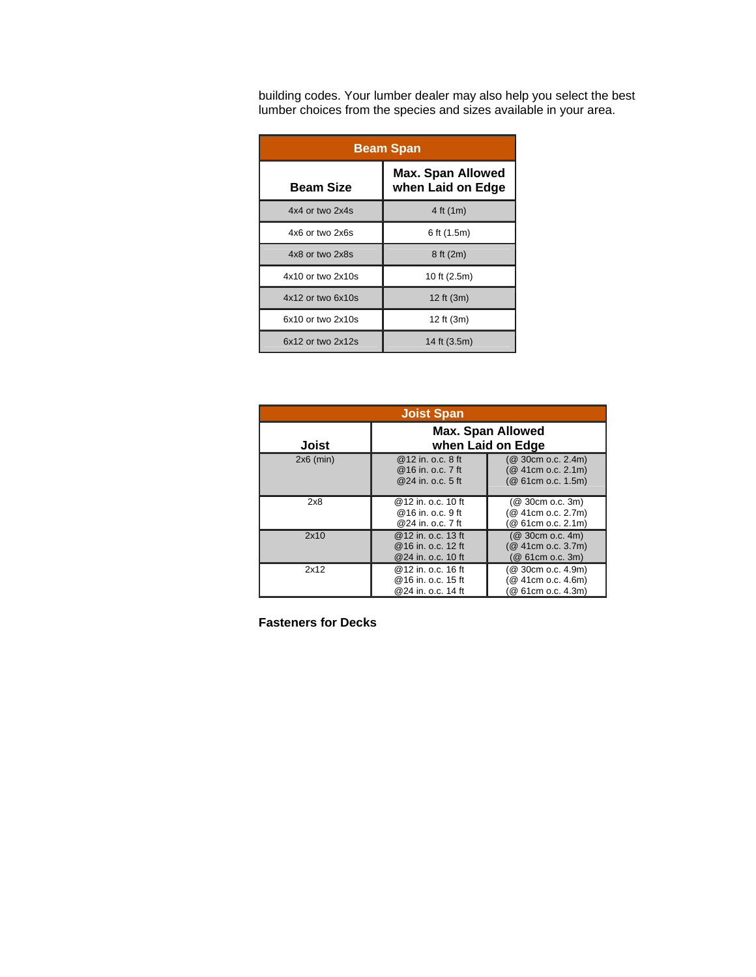building codes. Your lumber dealer may also help you select the best lumber choices from the species and sizes available in your area.

| <b>Beam Span</b>      |                                               |  |  |
|-----------------------|-----------------------------------------------|--|--|
| <b>Beam Size</b>      | <b>Max. Span Allowed</b><br>when Laid on Edge |  |  |
| $4x4$ or two $2x4s$   | 4 ft (1m)                                     |  |  |
| 4x6 or two 2x6s       | 6 ft (1.5m)                                   |  |  |
| 4x8 or two 2x8s       | 8 ft (2m)                                     |  |  |
| $4x10$ or two $2x10s$ | 10 ft (2.5m)                                  |  |  |
| $4x12$ or two $6x10s$ | 12 ft (3m)                                    |  |  |
| $6x10$ or two $2x10s$ | 12 ft (3m)                                    |  |  |
| 6x12 or two 2x12s     | 14 ft (3.5m)                                  |  |  |

| <b>Joist Span</b> |                                                                  |                                                                |  |  |
|-------------------|------------------------------------------------------------------|----------------------------------------------------------------|--|--|
| Joist             | <b>Max. Span Allowed</b><br>when Laid on Edge                    |                                                                |  |  |
| $2x6$ (min)       | @ 12 in. o.c. 8 ft<br>@16 in. o.c. 7 ft<br>@24 in. o.c. 5 ft     | (@ 30cm o.c. 2.4m)<br>(@ 41cm o.c. 2.1m)<br>(@ 61cm o.c. 1.5m) |  |  |
| 2x8               | @12 in. o.c. 10 ft<br>@16 in. o.c. 9 ft<br>@24 in. o.c. 7 ft     | $(Q$ 30cm o.c. 3m)<br>(@ 41cm o.c. 2.7m)<br>@ 61cm o.c. 2.1m)  |  |  |
| 2x10              | @ 12 in. o.c. 13 ft<br>@ 16 in. o.c. 12 ft<br>@24 in. o.c. 10 ft | $(Q$ 30cm o.c. 4m)<br>(@ 41cm o.c. 3.7m)<br>(@ 61cm o.c. 3m)   |  |  |
| 2x12              | @12 in. o.c. 16 ft<br>@16 in. o.c. 15 ft<br>@24 in. o.c. 14 ft   | @ 30cm o.c. 4.9m)<br>@ 41cm o.c. 4.6m)<br>@ 61cm o.c. 4.3m)    |  |  |

**Fasteners for Decks**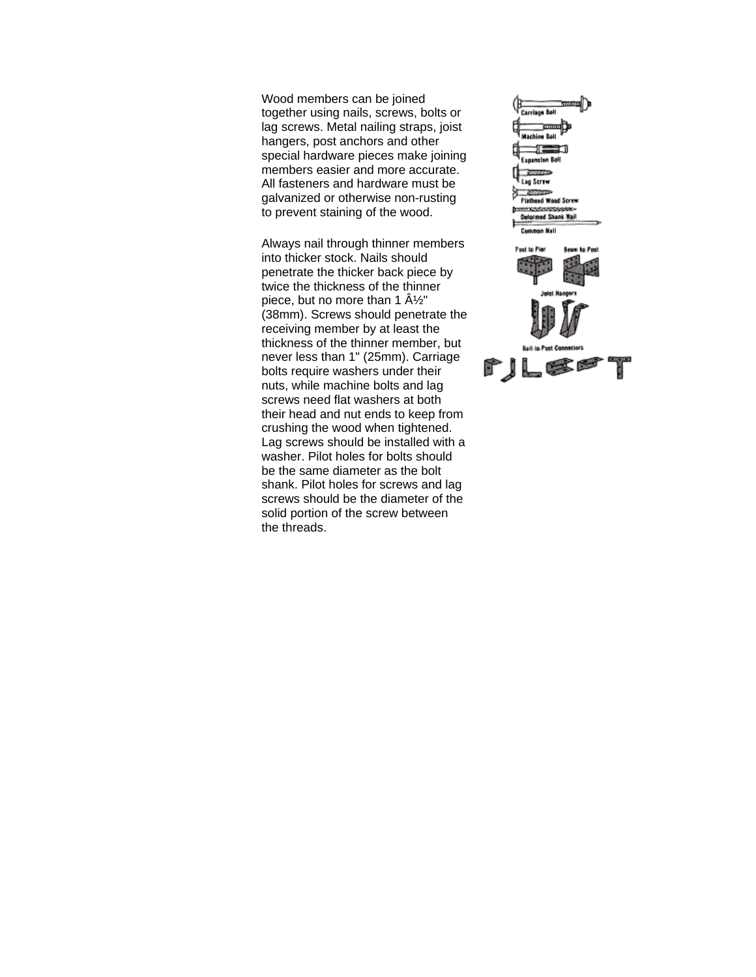Wood members can be joined together using nails, screws, bolts or lag screws. Metal nailing straps, joist hangers, post anchors and other special hardware pieces make joining members easier and more accurate. All fasteners and hardware must be galvanized or otherwise non-rusting to prevent staining of the wood.

Always nail through thinner members into thicker stock. Nails should penetrate the thicker back piece by twice the thickness of the thinner piece, but no more than 1  $\hat{A}\frac{1}{2}$ " (38mm). Screws should penetrate the receiving member by at least the thickness of the thinner member, but never less than 1" (25mm). Carriage bolts require washers under their nuts, while machine bolts and lag screws need flat washers at both their head and nut ends to keep from crushing the wood when tightened. Lag screws should be installed with a washer. Pilot holes for bolts should be the same diameter as the bolt shank. Pilot holes for screws and lag screws should be the diameter of the solid portion of the screw between the threads.

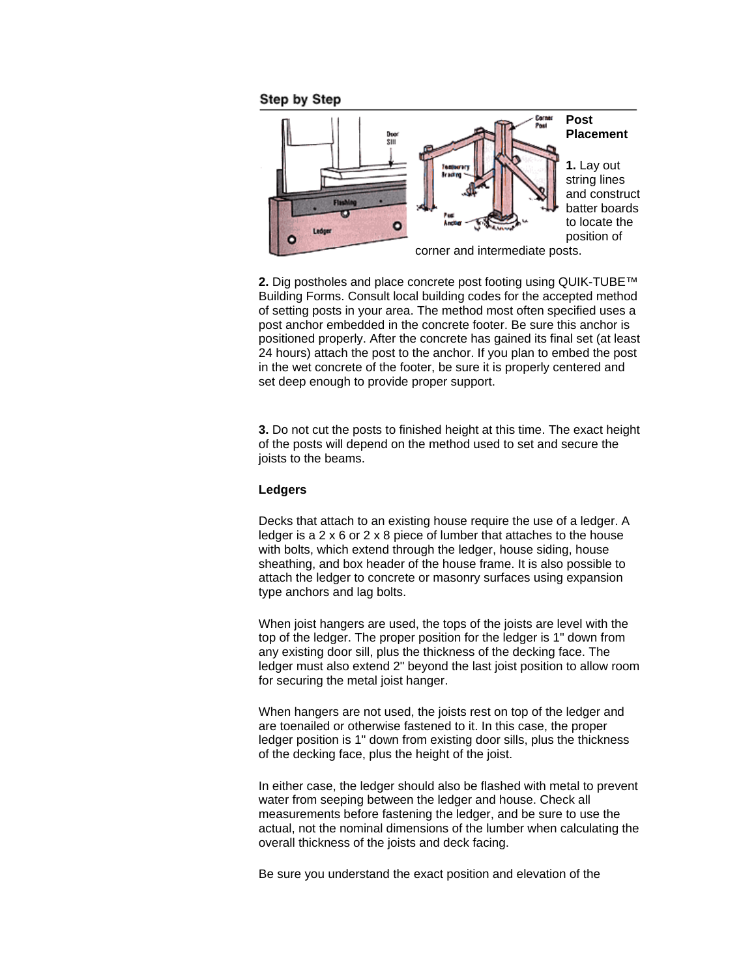**Step by Step** 



**2.** Dig postholes and place concrete post footing using QUIK-TUBE™ Building Forms. Consult local building codes for the accepted method of setting posts in your area. The method most often specified uses a post anchor embedded in the concrete footer. Be sure this anchor is positioned properly. After the concrete has gained its final set (at least 24 hours) attach the post to the anchor. If you plan to embed the post in the wet concrete of the footer, be sure it is properly centered and set deep enough to provide proper support.

**3.** Do not cut the posts to finished height at this time. The exact height of the posts will depend on the method used to set and secure the joists to the beams.

### **Ledgers**

Decks that attach to an existing house require the use of a ledger. A ledger is a 2 x 6 or 2 x 8 piece of lumber that attaches to the house with bolts, which extend through the ledger, house siding, house sheathing, and box header of the house frame. It is also possible to attach the ledger to concrete or masonry surfaces using expansion type anchors and lag bolts.

When joist hangers are used, the tops of the joists are level with the top of the ledger. The proper position for the ledger is 1" down from any existing door sill, plus the thickness of the decking face. The ledger must also extend 2" beyond the last joist position to allow room for securing the metal joist hanger.

When hangers are not used, the joists rest on top of the ledger and are toenailed or otherwise fastened to it. In this case, the proper ledger position is 1" down from existing door sills, plus the thickness of the decking face, plus the height of the joist.

In either case, the ledger should also be flashed with metal to prevent water from seeping between the ledger and house. Check all measurements before fastening the ledger, and be sure to use the actual, not the nominal dimensions of the lumber when calculating the overall thickness of the joists and deck facing.

Be sure you understand the exact position and elevation of the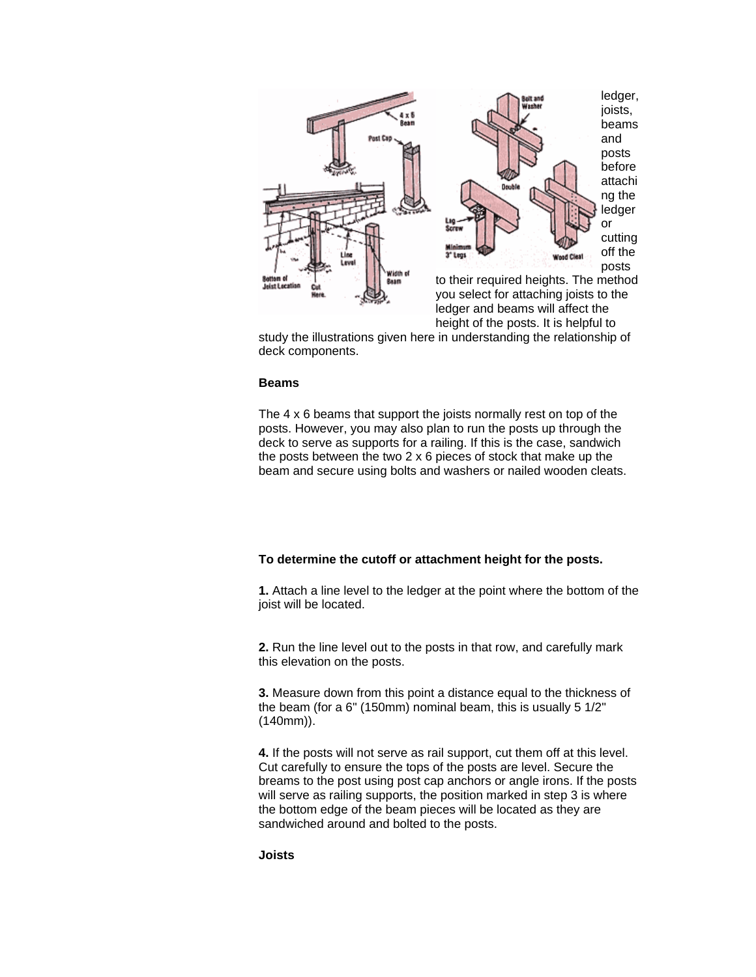

study the illustrations given here in understanding the relationship of deck components.

#### **Beams**

The 4 x 6 beams that support the joists normally rest on top of the posts. However, you may also plan to run the posts up through the deck to serve as supports for a railing. If this is the case, sandwich the posts between the two 2 x 6 pieces of stock that make up the beam and secure using bolts and washers or nailed wooden cleats.

#### **To determine the cutoff or attachment height for the posts.**

**1.** Attach a line level to the ledger at the point where the bottom of the joist will be located.

**2.** Run the line level out to the posts in that row, and carefully mark this elevation on the posts.

**3.** Measure down from this point a distance equal to the thickness of the beam (for a 6" (150mm) nominal beam, this is usually 5 1/2" (140mm)).

**4.** If the posts will not serve as rail support, cut them off at this level. Cut carefully to ensure the tops of the posts are level. Secure the breams to the post using post cap anchors or angle irons. If the posts will serve as railing supports, the position marked in step 3 is where the bottom edge of the beam pieces will be located as they are sandwiched around and bolted to the posts.

**Joists**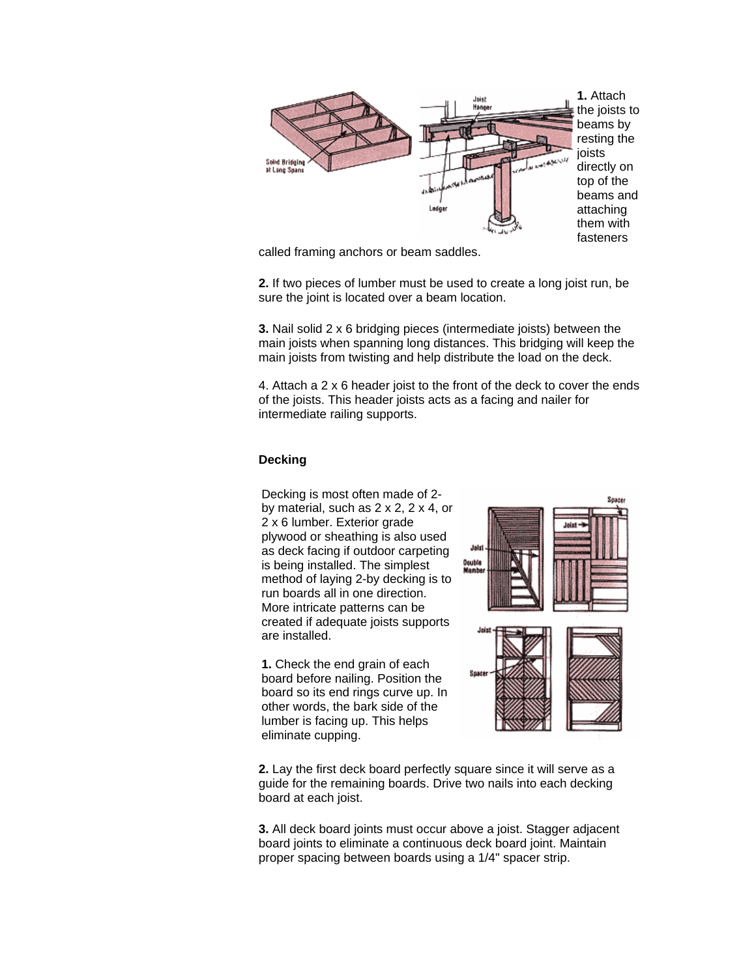

called framing anchors or beam saddles.

**2.** If two pieces of lumber must be used to create a long joist run, be sure the joint is located over a beam location.

**3.** Nail solid 2 x 6 bridging pieces (intermediate joists) between the main joists when spanning long distances. This bridging will keep the main joists from twisting and help distribute the load on the deck.

4. Attach a 2 x 6 header joist to the front of the deck to cover the ends of the joists. This header joists acts as a facing and nailer for intermediate railing supports.

## **Decking**

Decking is most often made of 2 by material, such as 2 x 2, 2 x 4, or 2 x 6 lumber. Exterior grade plywood or sheathing is also used as deck facing if outdoor carpeting is being installed. The simplest method of laying 2-by decking is to run boards all in one direction. More intricate patterns can be created if adequate joists supports are installed.

**1.** Check the end grain of each board before nailing. Position the board so its end rings curve up. In other words, the bark side of the lumber is facing up. This helps eliminate cupping.



**2.** Lay the first deck board perfectly square since it will serve as a guide for the remaining boards. Drive two nails into each decking board at each joist.

**3.** All deck board joints must occur above a joist. Stagger adjacent board joints to eliminate a continuous deck board joint. Maintain proper spacing between boards using a 1/4" spacer strip.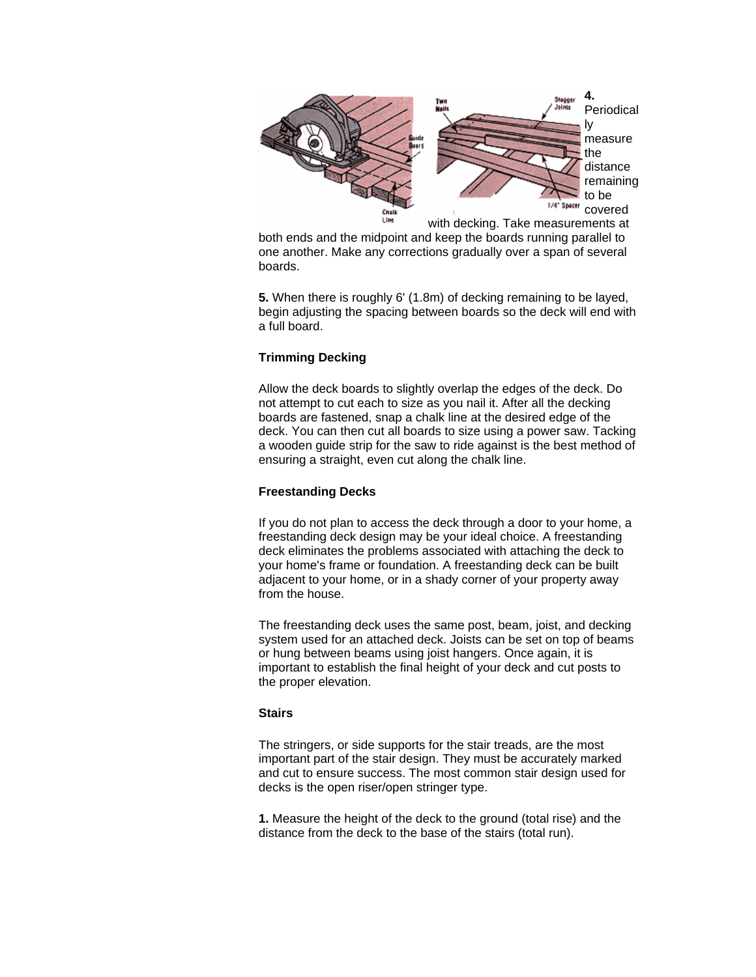

both ends and the midpoint and keep the boards running parallel to one another. Make any corrections gradually over a span of several boards.

**5.** When there is roughly 6' (1.8m) of decking remaining to be layed, begin adjusting the spacing between boards so the deck will end with a full board.

# **Trimming Decking**

Allow the deck boards to slightly overlap the edges of the deck. Do not attempt to cut each to size as you nail it. After all the decking boards are fastened, snap a chalk line at the desired edge of the deck. You can then cut all boards to size using a power saw. Tacking a wooden guide strip for the saw to ride against is the best method of ensuring a straight, even cut along the chalk line.

## **Freestanding Decks**

If you do not plan to access the deck through a door to your home, a freestanding deck design may be your ideal choice. A freestanding deck eliminates the problems associated with attaching the deck to your home's frame or foundation. A freestanding deck can be built adjacent to your home, or in a shady corner of your property away from the house.

The freestanding deck uses the same post, beam, joist, and decking system used for an attached deck. Joists can be set on top of beams or hung between beams using joist hangers. Once again, it is important to establish the final height of your deck and cut posts to the proper elevation.

## **Stairs**

The stringers, or side supports for the stair treads, are the most important part of the stair design. They must be accurately marked and cut to ensure success. The most common stair design used for decks is the open riser/open stringer type.

**1.** Measure the height of the deck to the ground (total rise) and the distance from the deck to the base of the stairs (total run).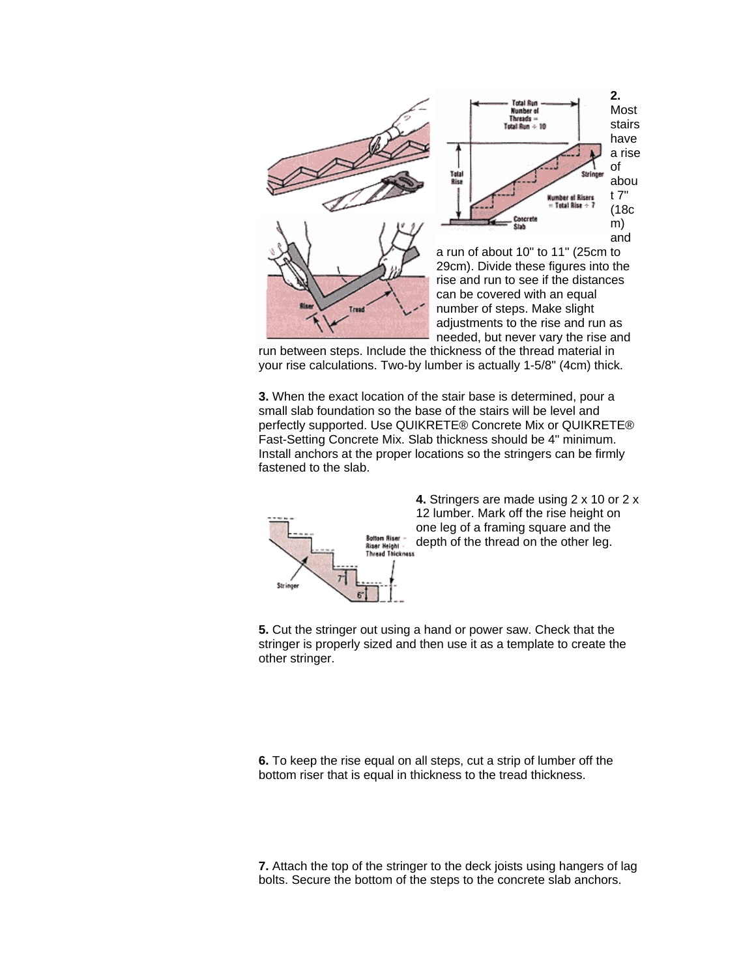

run between steps. Include the thickness of the thread material in your rise calculations. Two-by lumber is actually 1-5/8" (4cm) thick.

**3.** When the exact location of the stair base is determined, pour a small slab foundation so the base of the stairs will be level and perfectly supported. Use QUIKRETE® Concrete Mix or QUIKRETE® Fast-Setting Concrete Mix. Slab thickness should be 4" minimum. Install anchors at the proper locations so the stringers can be firmly fastened to the slab.



**4.** Stringers are made using 2 x 10 or 2 x 12 lumber. Mark off the rise height on one leg of a framing square and the depth of the thread on the other leg.

**5.** Cut the stringer out using a hand or power saw. Check that the stringer is properly sized and then use it as a template to create the other stringer.

**6.** To keep the rise equal on all steps, cut a strip of lumber off the bottom riser that is equal in thickness to the tread thickness.

**7.** Attach the top of the stringer to the deck joists using hangers of lag bolts. Secure the bottom of the steps to the concrete slab anchors.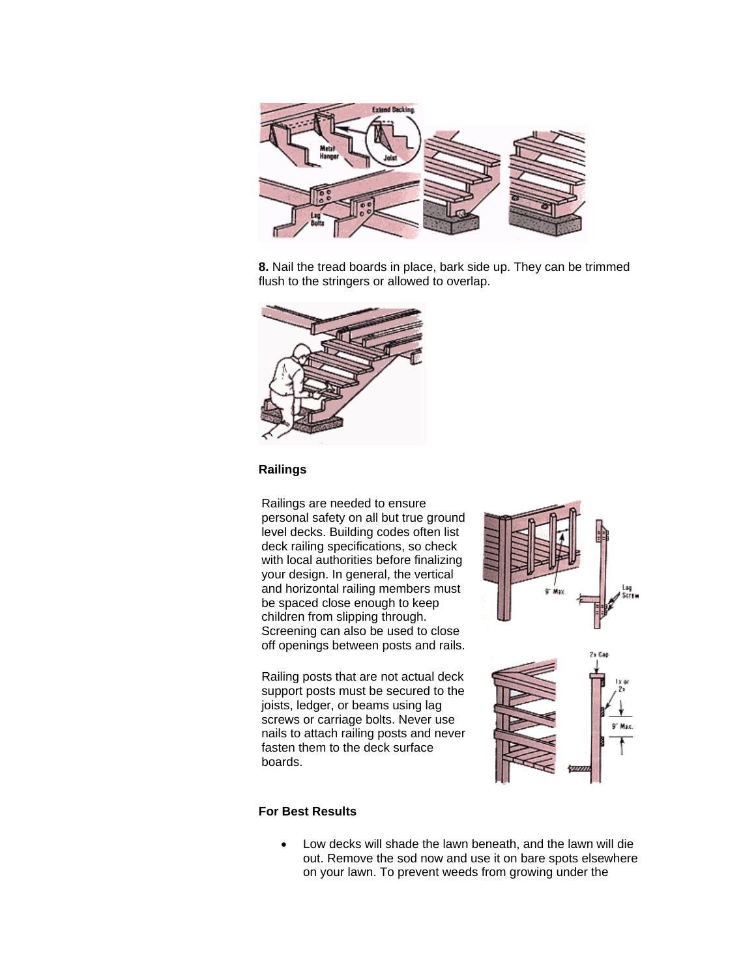

**8.** Nail the tread boards in place, bark side up. They can be trimmed flush to the stringers or allowed to overlap.



## **Railings**

Railings are needed to ensure personal safety on all but true ground level decks. Building codes often list deck railing specifications, so check with local authorities before finalizing your design. In general, the vertical and horizontal railing members must be spaced close enough to keep children from slipping through. Screening can also be used to close off openings between posts and rails.

Railing posts that are not actual deck support posts must be secured to the joists, ledger, or beams using lag screws or carriage bolts. Never use nails to attach railing posts and never fasten them to the deck surface boards.



# **For Best Results**

• Low decks will shade the lawn beneath, and the lawn will die out. Remove the sod now and use it on bare spots elsewhere on your lawn. To prevent weeds from growing under the